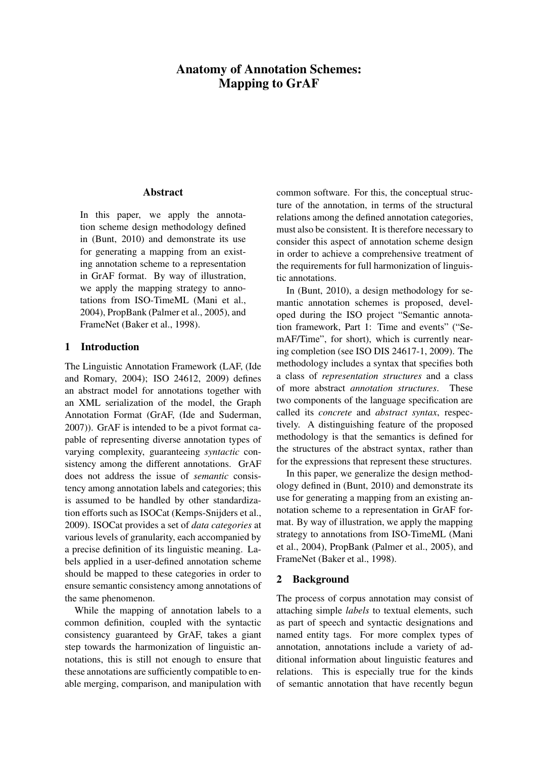# Anatomy of Annotation Schemes: Mapping to GrAF

### Abstract

In this paper, we apply the annotation scheme design methodology defined in (Bunt, 2010) and demonstrate its use for generating a mapping from an existing annotation scheme to a representation in GrAF format. By way of illustration, we apply the mapping strategy to annotations from ISO-TimeML (Mani et al., 2004), PropBank (Palmer et al., 2005), and FrameNet (Baker et al., 1998).

### 1 Introduction

The Linguistic Annotation Framework (LAF, (Ide and Romary, 2004); ISO 24612, 2009) defines an abstract model for annotations together with an XML serialization of the model, the Graph Annotation Format (GrAF, (Ide and Suderman, 2007)). GrAF is intended to be a pivot format capable of representing diverse annotation types of varying complexity, guaranteeing *syntactic* consistency among the different annotations. GrAF does not address the issue of *semantic* consistency among annotation labels and categories; this is assumed to be handled by other standardization efforts such as ISOCat (Kemps-Snijders et al., 2009). ISOCat provides a set of *data categories* at various levels of granularity, each accompanied by a precise definition of its linguistic meaning. Labels applied in a user-defined annotation scheme should be mapped to these categories in order to ensure semantic consistency among annotations of the same phenomenon.

While the mapping of annotation labels to a common definition, coupled with the syntactic consistency guaranteed by GrAF, takes a giant step towards the harmonization of linguistic annotations, this is still not enough to ensure that these annotations are sufficiently compatible to enable merging, comparison, and manipulation with common software. For this, the conceptual structure of the annotation, in terms of the structural relations among the defined annotation categories, must also be consistent. It is therefore necessary to consider this aspect of annotation scheme design in order to achieve a comprehensive treatment of the requirements for full harmonization of linguistic annotations.

In (Bunt, 2010), a design methodology for semantic annotation schemes is proposed, developed during the ISO project "Semantic annotation framework, Part 1: Time and events" ("SemAF/Time", for short), which is currently nearing completion (see ISO DIS 24617-1, 2009). The methodology includes a syntax that specifies both a class of *representation structures* and a class of more abstract *annotation structures*. These two components of the language specification are called its *concrete* and *abstract syntax*, respectively. A distinguishing feature of the proposed methodology is that the semantics is defined for the structures of the abstract syntax, rather than for the expressions that represent these structures.

In this paper, we generalize the design methodology defined in (Bunt, 2010) and demonstrate its use for generating a mapping from an existing annotation scheme to a representation in GrAF format. By way of illustration, we apply the mapping strategy to annotations from ISO-TimeML (Mani et al., 2004), PropBank (Palmer et al., 2005), and FrameNet (Baker et al., 1998).

# 2 Background

The process of corpus annotation may consist of attaching simple *labels* to textual elements, such as part of speech and syntactic designations and named entity tags. For more complex types of annotation, annotations include a variety of additional information about linguistic features and relations. This is especially true for the kinds of semantic annotation that have recently begun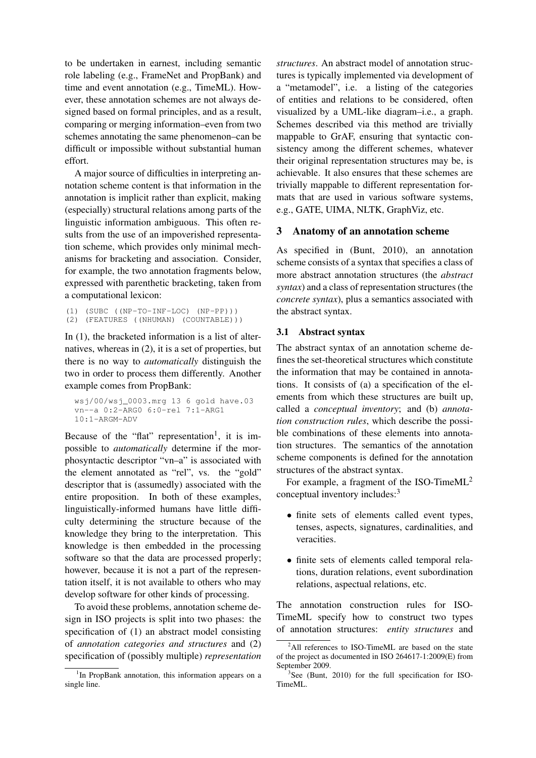to be undertaken in earnest, including semantic role labeling (e.g., FrameNet and PropBank) and time and event annotation (e.g., TimeML). However, these annotation schemes are not always designed based on formal principles, and as a result, comparing or merging information–even from two schemes annotating the same phenomenon–can be difficult or impossible without substantial human effort.

A major source of difficulties in interpreting annotation scheme content is that information in the annotation is implicit rather than explicit, making (especially) structural relations among parts of the linguistic information ambiguous. This often results from the use of an impoverished representation scheme, which provides only minimal mechanisms for bracketing and association. Consider, for example, the two annotation fragments below, expressed with parenthetic bracketing, taken from a computational lexicon:

```
(1) (SUBC ((NP-TO-INF-LOC) (NP-PP)))
(2) (FEATURES ((NHUMAN) (COUNTABLE)))
```
In (1), the bracketed information is a list of alternatives, whereas in (2), it is a set of properties, but there is no way to *automatically* distinguish the two in order to process them differently. Another example comes from PropBank:

```
wsj/00/wsj_0003.mrg 13 6 gold have.03
vn--a 0:2-ARG0 6:0-rel 7:1-ARG1
10:1-ARGM-ADV
```
Because of the "flat" representation<sup>1</sup>, it is impossible to *automatically* determine if the morphosyntactic descriptor "vn–a" is associated with the element annotated as "rel", vs. the "gold" descriptor that is (assumedly) associated with the entire proposition. In both of these examples, linguistically-informed humans have little difficulty determining the structure because of the knowledge they bring to the interpretation. This knowledge is then embedded in the processing software so that the data are processed properly; however, because it is not a part of the representation itself, it is not available to others who may develop software for other kinds of processing.

To avoid these problems, annotation scheme design in ISO projects is split into two phases: the specification of (1) an abstract model consisting of *annotation categories and structures* and (2) specification of (possibly multiple) *representation* *structures*. An abstract model of annotation structures is typically implemented via development of a "metamodel", i.e. a listing of the categories of entities and relations to be considered, often visualized by a UML-like diagram–i.e., a graph. Schemes described via this method are trivially mappable to GrAF, ensuring that syntactic consistency among the different schemes, whatever their original representation structures may be, is achievable. It also ensures that these schemes are trivially mappable to different representation formats that are used in various software systems, e.g., GATE, UIMA, NLTK, GraphViz, etc.

# 3 Anatomy of an annotation scheme

As specified in (Bunt, 2010), an annotation scheme consists of a syntax that specifies a class of more abstract annotation structures (the *abstract syntax*) and a class of representation structures (the *concrete syntax*), plus a semantics associated with the abstract syntax.

# 3.1 Abstract syntax

The abstract syntax of an annotation scheme defines the set-theoretical structures which constitute the information that may be contained in annotations. It consists of (a) a specification of the elements from which these structures are built up, called a *conceptual inventory*; and (b) *annotation construction rules*, which describe the possible combinations of these elements into annotation structures. The semantics of the annotation scheme components is defined for the annotation structures of the abstract syntax.

For example, a fragment of the ISO-Time $ML^2$ conceptual inventory includes:<sup>3</sup>

- finite sets of elements called event types, tenses, aspects, signatures, cardinalities, and veracities.
- finite sets of elements called temporal relations, duration relations, event subordination relations, aspectual relations, etc.

The annotation construction rules for ISO-TimeML specify how to construct two types of annotation structures: *entity structures* and

<sup>&</sup>lt;sup>1</sup>In PropBank annotation, this information appears on a single line.

 $2$ All references to ISO-TimeML are based on the state of the project as documented in ISO 264617-1:2009(E) from September 2009.

<sup>3</sup> See (Bunt, 2010) for the full specification for ISO-TimeML.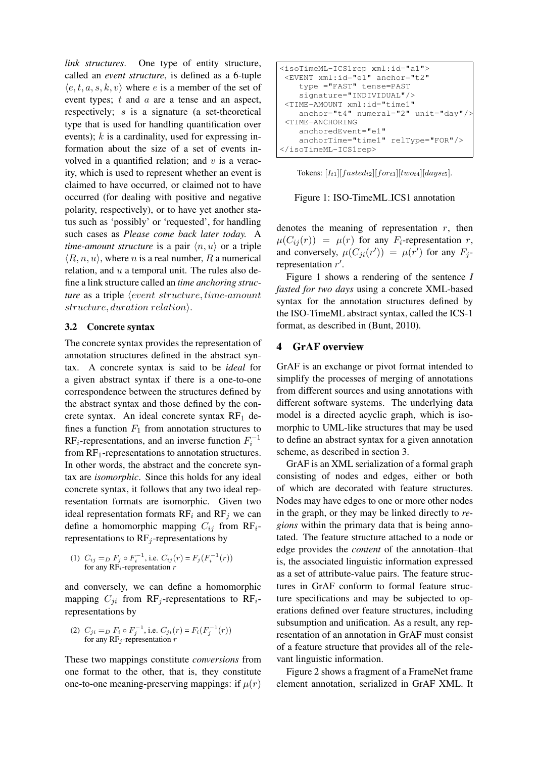*link structures*. One type of entity structure, called an *event structure*, is defined as a 6-tuple  $\langle e, t, a, s, k, v \rangle$  where e is a member of the set of event types; t and a are a tense and an aspect, respectively; s is a signature (a set-theoretical type that is used for handling quantification over events);  $k$  is a cardinality, used for expressing information about the size of a set of events involved in a quantified relation; and  $v$  is a veracity, which is used to represent whether an event is claimed to have occurred, or claimed not to have occurred (for dealing with positive and negative polarity, respectively), or to have yet another status such as 'possibly' or 'requested', for handling such cases as *Please come back later today.* A *time-amount structure* is a pair  $\langle n, u \rangle$  or a triple  $\langle R, n, u \rangle$ , where *n* is a real number, R a numerical relation, and  $u$  a temporal unit. The rules also define a link structure called an *time anchoring structure* as a triple *(event structure, time-amount*)  $structure, duration$  relation $\rangle$ .

#### 3.2 Concrete syntax

The concrete syntax provides the representation of annotation structures defined in the abstract syntax. A concrete syntax is said to be *ideal* for a given abstract syntax if there is a one-to-one correspondence between the structures defined by the abstract syntax and those defined by the concrete syntax. An ideal concrete syntax  $RF_1$  defines a function  $F_1$  from annotation structures to RF<sub>i</sub>-representations, and an inverse function  $F_i^{-1}$ from  $RF_1$ -representations to annotation structures. In other words, the abstract and the concrete syntax are *isomorphic*. Since this holds for any ideal concrete syntax, it follows that any two ideal representation formats are isomorphic. Given two ideal representation formats  $RF_i$  and  $RF_j$  we can define a homomorphic mapping  $C_{ij}$  from RF<sub>i</sub>representations to  $RF_i$ -representations by

(1) 
$$
C_{ij} =_D F_j \circ F_i^{-1}
$$
, i.e.  $C_{ij}(r) = F_j(F_i^{-1}(r))$   
for any RF<sub>i</sub>-representation  $r$ 

and conversely, we can define a homomorphic mapping  $C_{ji}$  from RF<sub>j</sub>-representations to RF<sub>i</sub>representations by

(2) 
$$
C_{ji} = D F_i \circ F_j^{-1}
$$
, i.e.  $C_{ji}(r) = F_i(F_j^{-1}(r))$   
for any RF<sub>j</sub>-representation *r*

These two mappings constitute *conversions* from one format to the other, that is, they constitute one-to-one meaning-preserving mappings: if  $\mu(r)$ 

<isoTimeML-ICS1rep xml:id="a1"> <EVENT xml:id="e1" anchor="t2" type ="FAST" tense=PAST signature="INDIVIDUAL"/> <TIME-AMOUNT xml:id="time1" anchor="t4" numeral="2" unit="day"/> <TIME-ANCHORING anchoredEvent="e1" anchorTime="time1" relType="FOR"/> </isoTimeML-ICS1rep>

Tokens:  $[I_{t1}][fasted_{t2}][for_{t3}][two_{t4}][days_{t5}].$ 



denotes the meaning of representation  $r$ , then  $\mu(C_{ij}(r)) = \mu(r)$  for any  $F_i$ -representation r, and conversely,  $\mu(C_{ji}(r')) = \mu(r')$  for any  $F_j$ representation  $r'$ .

Figure 1 shows a rendering of the sentence *I fasted for two days* using a concrete XML-based syntax for the annotation structures defined by the ISO-TimeML abstract syntax, called the ICS-1 format, as described in (Bunt, 2010).

#### 4 GrAF overview

GrAF is an exchange or pivot format intended to simplify the processes of merging of annotations from different sources and using annotations with different software systems. The underlying data model is a directed acyclic graph, which is isomorphic to UML-like structures that may be used to define an abstract syntax for a given annotation scheme, as described in section 3.

GrAF is an XML serialization of a formal graph consisting of nodes and edges, either or both of which are decorated with feature structures. Nodes may have edges to one or more other nodes in the graph, or they may be linked directly to *regions* within the primary data that is being annotated. The feature structure attached to a node or edge provides the *content* of the annotation–that is, the associated linguistic information expressed as a set of attribute-value pairs. The feature structures in GrAF conform to formal feature structure specifications and may be subjected to operations defined over feature structures, including subsumption and unification. As a result, any representation of an annotation in GrAF must consist of a feature structure that provides all of the relevant linguistic information.

Figure 2 shows a fragment of a FrameNet frame element annotation, serialized in GrAF XML. It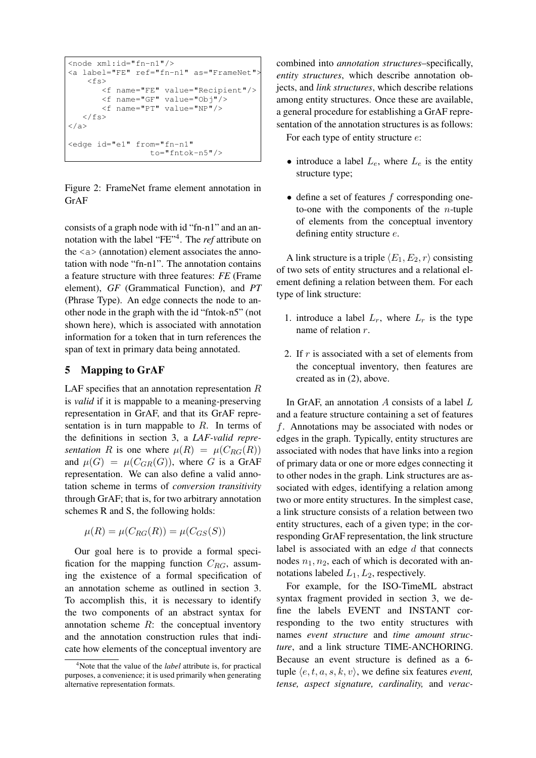```
<node xml:id="fn-n1"/>
<a label="FE" ref="fn-n1" as="FrameNet">
    \langlefs>
       <f name="FE" value="Recipient"/>
       <f name="GF" value="Obj"/>
       <f name="PT" value="NP"/>
   \langle/fs>
</a>
<edge id="e1" from="fn-n1"
                  to="fntok-n5"/>
```
Figure 2: FrameNet frame element annotation in GrAF

consists of a graph node with id "fn-n1" and an annotation with the label "FE"<sup>4</sup> . The *ref* attribute on the  $\langle a \rangle$  (annotation) element associates the annotation with node "fn-n1". The annotation contains a feature structure with three features: *FE* (Frame element), *GF* (Grammatical Function), and *PT* (Phrase Type). An edge connects the node to another node in the graph with the id "fntok-n5" (not shown here), which is associated with annotation information for a token that in turn references the span of text in primary data being annotated.

# 5 Mapping to GrAF

LAF specifies that an annotation representation  $R$ is *valid* if it is mappable to a meaning-preserving representation in GrAF, and that its GrAF representation is in turn mappable to  $R$ . In terms of the definitions in section 3, a *LAF-valid representation* R is one where  $\mu(R) = \mu(C_{RG}(R))$ and  $\mu(G) = \mu(C_{GR}(G))$ , where G is a GrAF representation. We can also define a valid annotation scheme in terms of *conversion transitivity* through GrAF; that is, for two arbitrary annotation schemes R and S, the following holds:

$$
\mu(R) = \mu(C_{RG}(R)) = \mu(C_{GS}(S))
$$

Our goal here is to provide a formal specification for the mapping function  $C_{RG}$ , assuming the existence of a formal specification of an annotation scheme as outlined in section 3. To accomplish this, it is necessary to identify the two components of an abstract syntax for annotation scheme  $R$ : the conceptual inventory and the annotation construction rules that indicate how elements of the conceptual inventory are combined into *annotation structures*–specifically, *entity structures*, which describe annotation objects, and *link structures*, which describe relations among entity structures. Once these are available, a general procedure for establishing a GrAF representation of the annotation structures is as follows:

For each type of entity structure e:

- introduce a label  $L_e$ , where  $L_e$  is the entity structure type;
- $\bullet$  define a set of features f corresponding oneto-one with the components of the *n*-tuple of elements from the conceptual inventory defining entity structure e.

A link structure is a triple  $\langle E_1, E_2, r \rangle$  consisting of two sets of entity structures and a relational element defining a relation between them. For each type of link structure:

- 1. introduce a label  $L_r$ , where  $L_r$  is the type name of relation r.
- 2. If  $r$  is associated with a set of elements from the conceptual inventory, then features are created as in (2), above.

In GrAF, an annotation  $A$  consists of a label  $L$ and a feature structure containing a set of features f. Annotations may be associated with nodes or edges in the graph. Typically, entity structures are associated with nodes that have links into a region of primary data or one or more edges connecting it to other nodes in the graph. Link structures are associated with edges, identifying a relation among two or more entity structures. In the simplest case, a link structure consists of a relation between two entity structures, each of a given type; in the corresponding GrAF representation, the link structure label is associated with an edge  $d$  that connects nodes  $n_1$ ,  $n_2$ , each of which is decorated with annotations labeled  $L_1, L_2$ , respectively.

For example, for the ISO-TimeML abstract syntax fragment provided in section 3, we define the labels EVENT and INSTANT corresponding to the two entity structures with names *event structure* and *time amount structure*, and a link structure TIME-ANCHORING. Because an event structure is defined as a 6 tuple  $\langle e, t, a, s, k, v \rangle$ , we define six features *event*, *tense, aspect signature, cardinality,* and *verac-*

<sup>4</sup>Note that the value of the *label* attribute is, for practical purposes, a convenience; it is used primarily when generating alternative representation formats.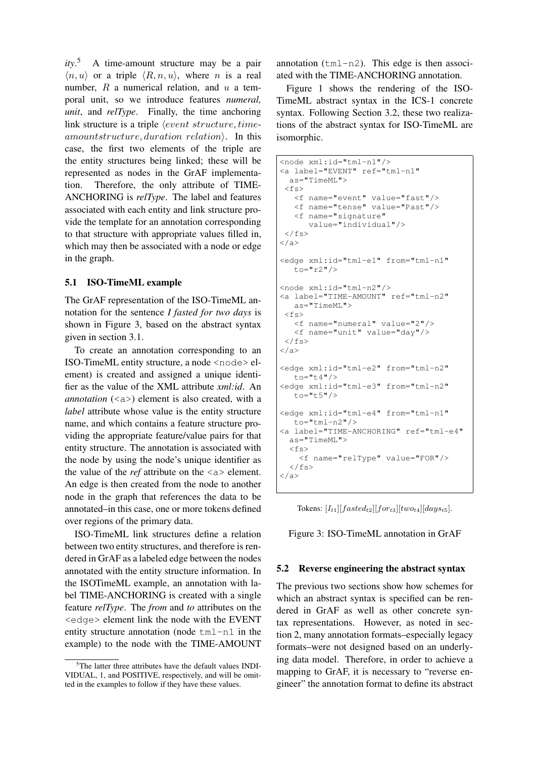*ity*. <sup>5</sup> A time-amount structure may be a pair  $\langle n, u \rangle$  or a triple  $\langle R, n, u \rangle$ , where n is a real number,  $R$  a numerical relation, and  $u$  a temporal unit, so we introduce features *numeral, unit*, and *relType*. Finally, the time anchoring link structure is a triple  $\langle event\ structure, time$ amountstructure, duration relation. In this case, the first two elements of the triple are the entity structures being linked; these will be represented as nodes in the GrAF implementation. Therefore, the only attribute of TIME-ANCHORING is *relType*. The label and features associated with each entity and link structure provide the template for an annotation corresponding to that structure with appropriate values filled in, which may then be associated with a node or edge in the graph.

#### 5.1 ISO-TimeML example

The GrAF representation of the ISO-TimeML annotation for the sentence *I fasted for two days* is shown in Figure 3, based on the abstract syntax given in section 3.1.

To create an annotation corresponding to an ISO-TimeML entity structure, a node <node> element) is created and assigned a unique identifier as the value of the XML attribute *xml:id*. An *annotation*  $(\langle a \rangle)$  element is also created, with a *label* attribute whose value is the entity structure name, and which contains a feature structure providing the appropriate feature/value pairs for that entity structure. The annotation is associated with the node by using the node's unique identifier as the value of the *ref* attribute on the <a> element. An edge is then created from the node to another node in the graph that references the data to be annotated–in this case, one or more tokens defined over regions of the primary data.

ISO-TimeML link structures define a relation between two entity structures, and therefore is rendered in GrAF as a labeled edge between the nodes annotated with the entity structure information. In the ISOTimeML example, an annotation with label TIME-ANCHORING is created with a single feature *relType*. The *from* and *to* attributes on the <edge> element link the node with the EVENT entity structure annotation (node tml-n1 in the example) to the node with the TIME-AMOUNT

annotation  $(\text{tml}-n2)$ . This edge is then associated with the TIME-ANCHORING annotation.

Figure 1 shows the rendering of the ISO-TimeML abstract syntax in the ICS-1 concrete syntax. Following Section 3.2, these two realizations of the abstract syntax for ISO-TimeML are isomorphic.

```
<node xml:id="tml-n1"/>
<a label="EVENT" ref="tml-n1"
 as="TimeML">
<fs>
   <f name="event" value="fast"/>
   <f name="tense" value="Past"/>
   <f name="signature"
      value="individual"/>
\langle/fs>
</a>
<edge xml:id="tml-e1" from="tml-n1"
  to="r2"/>
<node xml:id="tml-n2"/>
<a label="TIME-AMOUNT" ref="tml-n2"
  as="TimeML">
\langle f \rangle<f name="numeral" value="2"/>
   <f name="unit" value="day"/>
\langle/fs>
\langlea>
<edge xml:id="tml-e2" from="tml-n2"
   \bar{t}o="t4"/>
<edge xml:id="tml-e3" from="tml-n2"
   t_0 = "t 5"/>
<edge xml:id="tml-e4" from="tml-n1"
  to="tml-n2"/>
<a label="TIME-ANCHORING" ref="tml-e4"
 as="TimeML">
  <fs>
    <f name="relType" value="FOR"/>
  \langle/fs>
</a>
```
Tokens:  $[I_{t1}][fasted_{t2}][for_{t3}][two_{t4}][days_{t5}].$ 

Figure 3: ISO-TimeML annotation in GrAF

#### 5.2 Reverse engineering the abstract syntax

The previous two sections show how schemes for which an abstract syntax is specified can be rendered in GrAF as well as other concrete syntax representations. However, as noted in section 2, many annotation formats–especially legacy formats–were not designed based on an underlying data model. Therefore, in order to achieve a mapping to GrAF, it is necessary to "reverse engineer" the annotation format to define its abstract

<sup>&</sup>lt;sup>5</sup>The latter three attributes have the default values INDI-VIDUAL, 1, and POSITIVE, respectively, and will be omitted in the examples to follow if they have these values.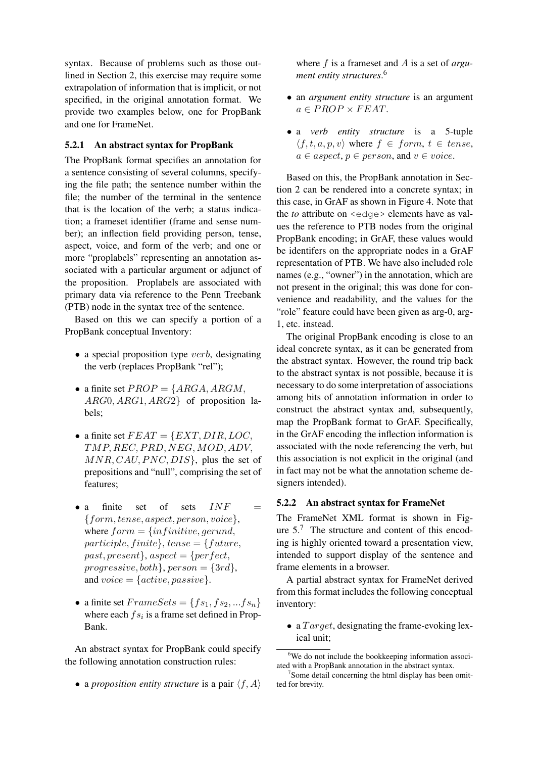syntax. Because of problems such as those outlined in Section 2, this exercise may require some extrapolation of information that is implicit, or not specified, in the original annotation format. We provide two examples below, one for PropBank and one for FrameNet.

#### 5.2.1 An abstract syntax for PropBank

The PropBank format specifies an annotation for a sentence consisting of several columns, specifying the file path; the sentence number within the file; the number of the terminal in the sentence that is the location of the verb; a status indication; a frameset identifier (frame and sense number); an inflection field providing person, tense, aspect, voice, and form of the verb; and one or more "proplabels" representing an annotation associated with a particular argument or adjunct of the proposition. Proplabels are associated with primary data via reference to the Penn Treebank (PTB) node in the syntax tree of the sentence.

Based on this we can specify a portion of a PropBank conceptual Inventory:

- $\bullet$  a special proposition type verb, designating the verb (replaces PropBank "rel");
- a finite set  $PROP = \{ARGA, ARGM,$ ARG0, ARG1, ARG2} of proposition labels;
- a finite set  $FEAT = \{EXT, DIR, LOC,$ TMP, REC, PRD, NEG, MOD, ADV,  $MNR, CAU, PNC, DIS$ , plus the set of prepositions and "null", comprising the set of features;
- a finite set of sets  $INF =$  ${form, tense, aspect, person, voice},$ where  $form = \{infinite, gerund,$ participle, finite, tense = {future, past, present $\},$  aspect =  $\{perfect,$ progressive, both },  $person = \{3rd\}$ , and  $\text{voice} = \{active, passive\}.$
- a finite set  $FrameSets = \{fs_1, fs_2, ... fs_n\}$ where each  $fs_i$  is a frame set defined in Prop-Bank.

An abstract syntax for PropBank could specify the following annotation construction rules:

• a *proposition entity structure* is a pair  $\langle f, A \rangle$ 

where f is a frameset and A is a set of *argument entity structures*. 6

- an *argument entity structure* is an argument  $a \in PROP \times FEAT$ .
- a *verb entity structure* is a 5-tuple  $\langle f, t, a, p, v \rangle$  where  $f \in form, t \in tense$ ,  $a \in aspect, p \in person$ , and  $v \in voice$ .

Based on this, the PropBank annotation in Section 2 can be rendered into a concrete syntax; in this case, in GrAF as shown in Figure 4. Note that the *to* attribute on <edge> elements have as values the reference to PTB nodes from the original PropBank encoding; in GrAF, these values would be identifers on the appropriate nodes in a GrAF representation of PTB. We have also included role names (e.g., "owner") in the annotation, which are not present in the original; this was done for convenience and readability, and the values for the "role" feature could have been given as arg-0, arg-1, etc. instead.

The original PropBank encoding is close to an ideal concrete syntax, as it can be generated from the abstract syntax. However, the round trip back to the abstract syntax is not possible, because it is necessary to do some interpretation of associations among bits of annotation information in order to construct the abstract syntax and, subsequently, map the PropBank format to GrAF. Specifically, in the GrAF encoding the inflection information is associated with the node referencing the verb, but this association is not explicit in the original (and in fact may not be what the annotation scheme designers intended).

#### 5.2.2 An abstract syntax for FrameNet

The FrameNet XML format is shown in Figure  $5<sup>7</sup>$ . The structure and content of this encoding is highly oriented toward a presentation view, intended to support display of the sentence and frame elements in a browser.

A partial abstract syntax for FrameNet derived from this format includes the following conceptual inventory:

• a  $Target$ , designating the frame-evoking lexical unit;

 $6$ We do not include the bookkeeping information associated with a PropBank annotation in the abstract syntax.

<sup>&</sup>lt;sup>7</sup>Some detail concerning the html display has been omitted for brevity.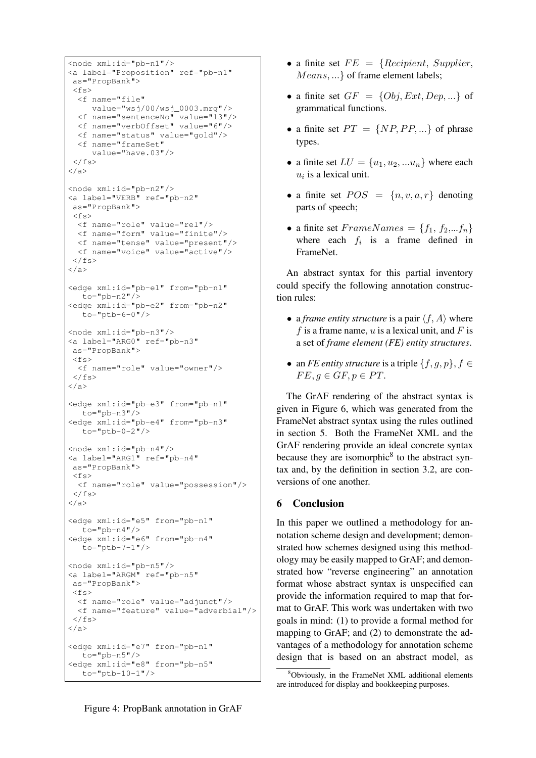```
<node xml:id="pb-n1"/>
<a label="Proposition" ref="pb-n1"
as="PropBank">
\langle f \rangle<f name="file"
     value="wsj/00/wsj_0003.mrg"/>
  <f name="sentenceNo" value="13"/>
  <f name="verbOffset" value="6"/>
  <f name="status" value="gold"/>
  <f name="frameSet"
    value="have.03"/>
\langle/fs>
\langlea>
<node xml:id="pb-n2"/>
<a label="VERB" ref="pb-n2"
as="PropBank">
\langle f \rangle<f name="role" value="rel"/>
 <f name="form" value="finite"/>
  <f name="tense" value="present"/>
  <f name="voice" value="active"/>
\langle/fs>
\langlea>
<edge xml:id="pb-e1" from="pb-n1"
  \bar{t}o="pb-n2"/>
<edge xml:id="pb-e2" from="pb-n2"
  to="ptb-6-0"/>
<node xml:id="pb-n3"/>
<a label="ARG0" ref="pb-n3"
as="PropBank">
<fs>
 <f name="role" value="owner"/>
\langle/fs>
\langlea>
<edge xml:id="pb-e3" from="pb-n1"
  to="pb-n3"/>
<edge xml:id="pb-e4" from="pb-n3"
  to = "ptb-0-2"<node xml:id="pb-n4"/>
<a label="ARG1" ref="pb-n4"
as="PropBank">
\langle f \rangle<f name="role" value="possession"/>
\langle/fs>
\langlea>
<edge xml:id="e5" from="pb-n1"
   to="pb-n4"/>
<edge xml:id="e6" from="pb-n4"
  to="ptb-7-1"/>
<node xml:id="pb-n5"/>
<a label="ARGM" ref="pb-n5"
as="PropBank">
<fs>
 <f name="role" value="adjunct"/>
 <f name="feature" value="adverbial"/>
\langle/fs>
\langlea>
<edge xml:id="e7" from="pb-n1"
  to="pb-n5"/>
<edge xml:id="e8" from="pb-n5"
   to="ptb-10-1"/>
```
- a finite set  $FE = \{Recipient, \, Supplement,$ Means, ...} of frame element labels;
- a finite set  $GF = \{Obj, Ext, Dep, ...\}$  of grammatical functions.
- a finite set  $PT = \{NP, PP, ...\}$  of phrase types.
- a finite set  $LU = \{u_1, u_2, ... u_n\}$  where each  $u_i$  is a lexical unit.
- a finite set  $POS = \{n, v, a, r\}$  denoting parts of speech;
- a finite set  $FrameNames = \{f_1, f_2, ... f_n\}$ where each  $f_i$  is a frame defined in FrameNet.

An abstract syntax for this partial inventory could specify the following annotation construction rules:

- a *frame entity structure* is a pair  $\langle f, A \rangle$  where f is a frame name, u is a lexical unit, and F is a set of *frame element (FE) entity structures*.
- an *FE entity structure* is a triple  $\{f, g, p\}, f \in$  $FE, q \in GF, p \in PT.$

The GrAF rendering of the abstract syntax is given in Figure 6, which was generated from the FrameNet abstract syntax using the rules outlined in section 5. Both the FrameNet XML and the GrAF rendering provide an ideal concrete syntax because they are isomorphic<sup>8</sup> to the abstract syntax and, by the definition in section 3.2, are conversions of one another.

# 6 Conclusion

In this paper we outlined a methodology for annotation scheme design and development; demonstrated how schemes designed using this methodology may be easily mapped to GrAF; and demonstrated how "reverse engineering" an annotation format whose abstract syntax is unspecified can provide the information required to map that format to GrAF. This work was undertaken with two goals in mind: (1) to provide a formal method for mapping to GrAF; and (2) to demonstrate the advantages of a methodology for annotation scheme design that is based on an abstract model, as

<sup>8</sup>Obviously, in the FrameNet XML additional elements are introduced for display and bookkeeping purposes.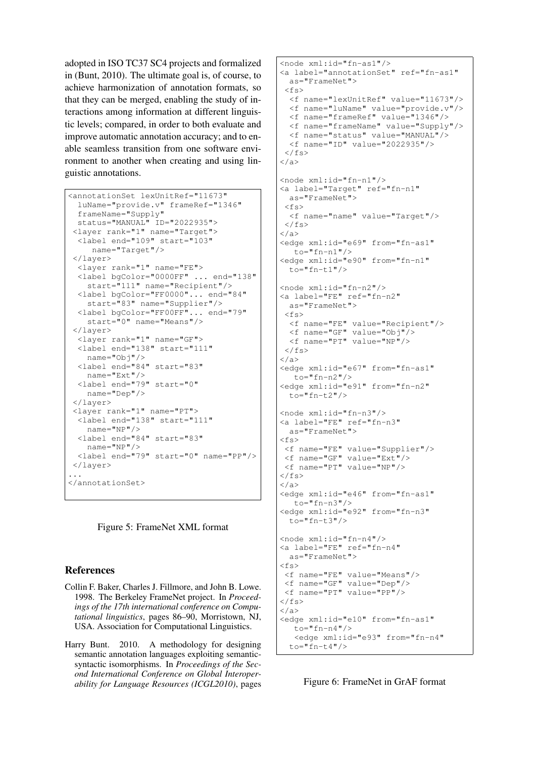adopted in ISO TC37 SC4 projects and formalized in (Bunt, 2010). The ultimate goal is, of course, to achieve harmonization of annotation formats, so that they can be merged, enabling the study of interactions among information at different linguistic levels; compared, in order to both evaluate and improve automatic annotation accuracy; and to enable seamless transition from one software environment to another when creating and using linguistic annotations.

```
<annotationSet lexUnitRef="11673"
 luName="provide.v" frameRef="1346"
 frameName="Supply"
 status="MANUAL" ID="2022935">
 <layer rank="1" name="Target">
 <label end="109" start="103"
    name="Target"/>
 </layer>
 <layer rank="1" name="FE">
 <label bgColor="0000FF" ... end="138"
   start="111" name="Recipient"/>
 <label bgColor="FF0000"... end="84"
   start="83" name="Supplier"/>
 <label bgColor="FF00FF"... end="79"
   start="0" name="Means"/>
 </layer>
 <layer rank="1" name="GF">
 <label end="138" start="111"
   name="Obj"/>
 <label end="84" start="83"
   name="Ext"/>
 <label end="79" start="0"
   name="Dep"/>
 </layer>
 <layer rank="1" name="PT">
 <label end="138" start="111"
   name="NP"/>
 <label end="84" start="83"
   name="NP"/>
 <label end="79" start="0" name="PP"/>
</layer>
...
</annotationSet>
```
Figure 5: FrameNet XML format

# References

- Collin F. Baker, Charles J. Fillmore, and John B. Lowe. 1998. The Berkeley FrameNet project. In *Proceedings of the 17th international conference on Computational linguistics*, pages 86–90, Morristown, NJ, USA. Association for Computational Linguistics.
- Harry Bunt. 2010. A methodology for designing semantic annotation languages exploiting semanticsyntactic isomorphisms. In *Proceedings of the Second International Conference on Global Interoperability for Language Resources (ICGL2010)*, pages

```
<node xml:id="fn-as1"/>
<a label="annotationSet" ref="fn-as1"
 as="FrameNet">
 \langle f \rangle<f name="lexUnitRef" value="11673"/>
  <f name="luName" value="provide.v"/>
  <f name="frameRef" value="1346"/>
  <f name="frameName" value="Supply"/>
  <f name="status" value="MANUAL"/>
  <f name="ID" value="2022935"/>
\langle/fs>
</a>
<node xml:id="fn-n1"/>
<a label="Target" ref="fn-n1"
 as="FrameNet">
 \langle f s \rangle<f name="name" value="Target"/>
\langle/fs>
</a>
<edge xml:id="e69" from="fn-as1"
  to="fn-n1"/>
<edge xml:id="e90" from="fn-n1"
 to="fn-t1"/>
<node xml:id="fn-n2"/>
<a label="FE" ref="fn-n2"
 as="FrameNet">
<fs>
  <f name="FE" value="Recipient"/>
  <f name="GF" value="Obj"/>
 <f name="PT" value="NP"/>
\langle/fs>
\langlea>
<edge xml:id="e67" from="fn-as1"
  to="fn-n2"/>
<edge xml:id="e91" from="fn-n2"
 t.o = "fn-t2"<node xml:id="fn-n3"/>
<a label="FE" ref="fn-n3"
 as="FrameNet">
<fs>
<f name="FE" value="Supplier"/>
<f name="GF" value="Ext"/>
<f name="PT" value="NP"/>
\langle/fs>
</a>
<edge xml:id="e46" from="fn-as1"
  to = "fn-n3"<edge xml:id="e92" from="fn-n3"
 to="fn-t3"<node xml:id="fn-n4"/>
<a label="FE" ref="fn-n4"
 as="FrameNet">
<fs>
<f name="FE" value="Means"/>
<f name="GF" value="Dep"/>
<f name="PT" value="PP"/>
\langle/fs>
\langle/a>
<edge xml:id="e10" from="fn-as1"
   to="fn-n4"<edge xml:id="e93" from="fn-n4"
  to="fn-t4"/>
```
Figure 6: FrameNet in GrAF format